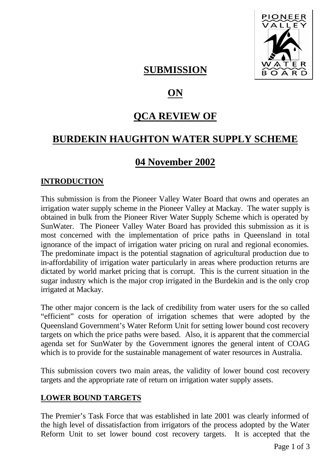

## **SUBMISSION**

# **ON**

## **QCA REVIEW OF**

## **BURDEKIN HAUGHTON WATER SUPPLY SCHEME**

#### **04 November 2002**

#### **INTRODUCTION**

This submission is from the Pioneer Valley Water Board that owns and operates an irrigation water supply scheme in the Pioneer Valley at Mackay. The water supply is obtained in bulk from the Pioneer River Water Supply Scheme which is operated by SunWater. The Pioneer Valley Water Board has provided this submission as it is most concerned with the implementation of price paths in Queensland in total ignorance of the impact of irrigation water pricing on rural and regional economies. The predominate impact is the potential stagnation of agricultural production due to in-affordability of irrigation water particularly in areas where production returns are dictated by world market pricing that is corrupt. This is the current situation in the sugar industry which is the major crop irrigated in the Burdekin and is the only crop irrigated at Mackay.

The other major concern is the lack of credibility from water users for the so called "efficient" costs for operation of irrigation schemes that were adopted by the Queensland Government's Water Reform Unit for setting lower bound cost recovery targets on which the price paths were based. Also, it is apparent that the commercial agenda set for SunWater by the Government ignores the general intent of COAG which is to provide for the sustainable management of water resources in Australia.

This submission covers two main areas, the validity of lower bound cost recovery targets and the appropriate rate of return on irrigation water supply assets.

#### **LOWER BOUND TARGETS**

The Premier's Task Force that was established in late 2001 was clearly informed of the high level of dissatisfaction from irrigators of the process adopted by the Water Reform Unit to set lower bound cost recovery targets. It is accepted that the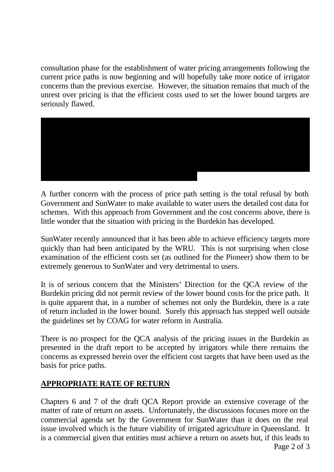consultation phase for the establishment of water pricing arrangements following the current price paths is now beginning and will hopefully take more notice of irrigator concerns than the previous exercise. However, the situation remains that much of the unrest over pricing is that the efficient costs used to set the lower bound targets are seriously flawed.



A further concern with the process of price path setting is the total refusal by both Government and SunWater to make available to water users the detailed cost data for schemes. With this approach from Government and the cost concerns above, there is little wonder that the situation with pricing in the Burdekin has developed.

SunWater recently announced that it has been able to achieve efficiency targets more quickly than had been anticipated by the WRU. This is not surprising when close examination of the efficient costs set (as outlined for the Pioneer) show them to be extremely generous to SunWater and very detrimental to users.

It is of serious concern that the Ministers' Direction for the QCA review of the Burdekin pricing did not permit review of the lower bound costs for the price path. It is quite apparent that, in a number of schemes not only the Burdekin, there is a rate of return included in the lower bound. Surely this approach has stepped well outside the guidelines set by COAG for water reform in Australia.

There is no prospect for the QCA analysis of the pricing issues in the Burdekin as presented in the draft report to be accepted by irrigators while there remains the concerns as expressed herein over the efficient cost targets that have been used as the basis for price paths.

#### **APPROPRIATE RATE OF RETURN**

Chapters 6 and 7 of the draft QCA Report provide an extensive coverage of the matter of rate of return on assets. Unfortunately, the discussions focuses more on the commercial agenda set by the Government for SunWater than it does on the real issue involved which is the future viability of irrigated agriculture in Queensland. It is a commercial given that entities must achieve a return on assets but, if this leads to